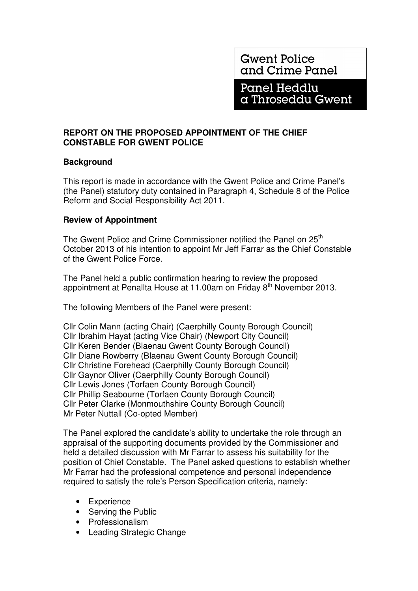**Gwent Police** and Crime Panel

Panel Heddlu a Throseddu Gwent

## **REPORT ON THE PROPOSED APPOINTMENT OF THE CHIEF CONSTABLE FOR GWENT POLICE**

## **Background**

This report is made in accordance with the Gwent Police and Crime Panel's (the Panel) statutory duty contained in Paragraph 4, Schedule 8 of the Police Reform and Social Responsibility Act 2011.

## **Review of Appointment**

The Gwent Police and Crime Commissioner notified the Panel on 25<sup>th</sup> October 2013 of his intention to appoint Mr Jeff Farrar as the Chief Constable of the Gwent Police Force.

The Panel held a public confirmation hearing to review the proposed appointment at Penallta House at 11.00am on Friday 8<sup>th</sup> November 2013.

The following Members of the Panel were present:

Cllr Colin Mann (acting Chair) (Caerphilly County Borough Council) Cllr Ibrahim Hayat (acting Vice Chair) (Newport City Council) Cllr Keren Bender (Blaenau Gwent County Borough Council) Cllr Diane Rowberry (Blaenau Gwent County Borough Council) Cllr Christine Forehead (Caerphilly County Borough Council) Cllr Gaynor Oliver (Caerphilly County Borough Council) Cllr Lewis Jones (Torfaen County Borough Council) Cllr Phillip Seabourne (Torfaen County Borough Council) Cllr Peter Clarke (Monmouthshire County Borough Council) Mr Peter Nuttall (Co-opted Member)

The Panel explored the candidate's ability to undertake the role through an appraisal of the supporting documents provided by the Commissioner and held a detailed discussion with Mr Farrar to assess his suitability for the position of Chief Constable. The Panel asked questions to establish whether Mr Farrar had the professional competence and personal independence required to satisfy the role's Person Specification criteria, namely:

- Experience
- Serving the Public
- Professionalism
- Leading Strategic Change